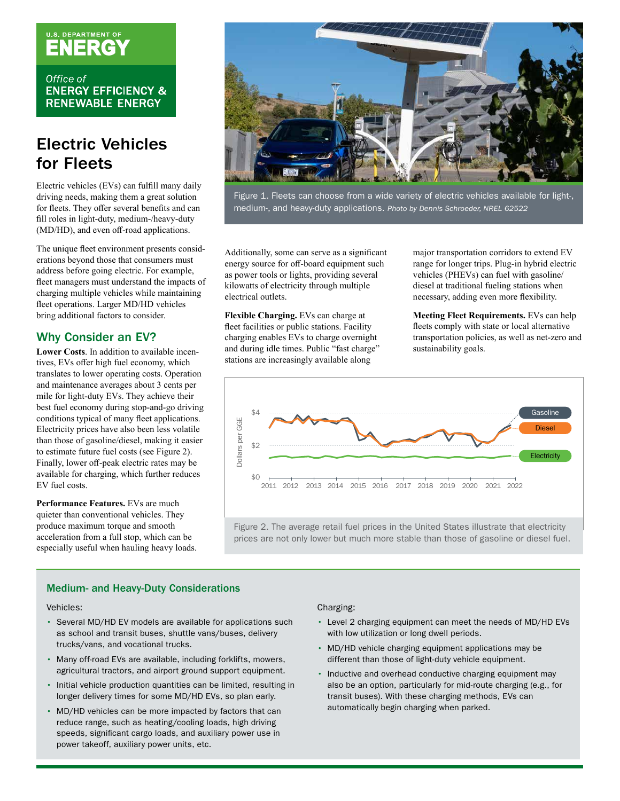# U.S. DEPARTMENT OF

Office of **ENERGY EFFICIENCY & RENEWABLE ENERGY** 

### Electric Vehicles for Fleets

Electric vehicles (EVs) can fulfill many daily driving needs, making them a great solution for fleets. They offer several benefits and can fill roles in light-duty, medium-/heavy-duty (MD/HD), and even off-road applications.

The unique fleet environment presents considerations beyond those that consumers must address before going electric. For example, fleet managers must understand the impacts of charging multiple vehicles while maintaining fleet operations. Larger MD/HD vehicles bring additional factors to consider.

#### Why Consider an EV?

**Lower Costs**. In addition to available incentives, EVs offer high fuel economy, which translates to lower operating costs. Operation and maintenance averages about 3 cents per mile for light-duty EVs. They achieve their Electricity prices have also been less volatile than those of gasoline/diesel, making it easier to estimate future fuel costs (see Figure 2). Finally, lower off-peak electric rates may be available for charging, which further reduces

**Performance Features.** EVs are much quieter than conventional vehicles. They especially useful when hauling heavy loads.



Figure 1. Fleets can choose from a wide variety of electric vehicles available for light-, medium-, and heavy-duty applications. *Photo by Dennis Schroeder, NREL 62522* 

Additionally, some can serve as a significant energy source for off-board equipment such as power tools or lights, providing several kilowatts of electricity through multiple electrical outlets.

**Flexible Charging.** EVs can charge at fleet facilities or public stations. Facility charging enables EVs to charge overnight and during idle times. Public "fast charge" stations are increasingly available along

major transportation corridors to extend EV range for longer trips. Plug-in hybrid electric vehicles (PHEVs) can fuel with gasoline/ diesel at traditional fueling stations when necessary, adding even more flexibility.

**Meeting Fleet Requirements.** EVs can help fleets comply with state or local alternative transportation policies, as well as net-zero and sustainability goals.



produce maximum torque and smooth Figure 2. The average retail fuel prices in the United States illustrate that electricity acceleration from a full stop, which can be prices are not only lower but much more stable than those of gasoline or diesel fuel.

#### Medium- and Heavy-Duty Considerations

Vehicles:

- Several MD/HD EV models are available for applications such as school and transit buses, shuttle vans/buses, delivery trucks/vans, and vocational trucks.
- Many off-road EVs are available, including forklifts, mowers, agricultural tractors, and airport ground support equipment.
- Initial vehicle production quantities can be limited, resulting in longer delivery times for some MD/HD EVs, so plan early.
- MD/HD vehicles can be more impacted by factors that can reduce range, such as heating/cooling loads, high driving speeds, signifcant cargo loads, and auxiliary power use in power takeoff, auxiliary power units, etc.

#### Charging:

- Level 2 charging equipment can meet the needs of MD/HD EVs with low utilization or long dwell periods.
- MD/HD vehicle charging equipment applications may be different than those of light-duty vehicle equipment.
- Inductive and overhead conductive charging equipment may also be an option, particularly for mid-route charging (e.g., for transit buses). With these charging methods, EVs can automatically begin charging when parked.